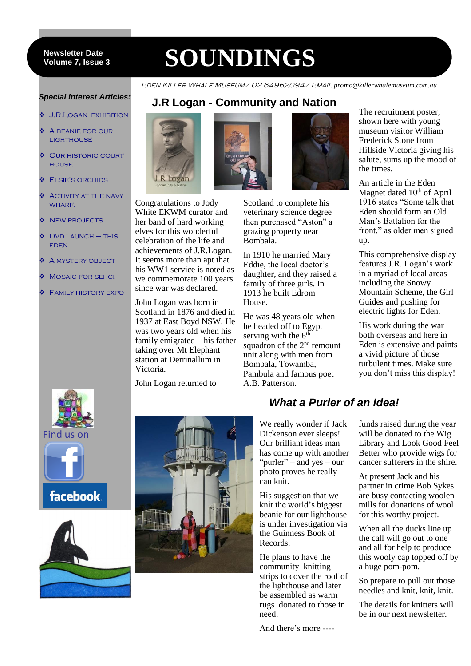#### 7 **Volume 7, Issue 3 Newsletter Date**

# **SOUNDINGS**

**J.R Logan - Community and Nation**

Eden Killer Whale Museum/ 02 64962094/ Email *promo@killerwhalemuseum.com.au*

#### *Special Interest Articles:*

- $\div$  J.R.LOGAN EXHIBITION
- A beanie for our **LIGHTHOUSE**
- $\div$  **OUR HISTORIC COURT HOUSE**
- **❖** ELSIE'S ORCHIDS
- Activity at the navy WHARF.
- **NEW PROJECTS**
- $\triangle$  DVD LAUNCH THIS eden
- A mystery object
- Mosaic for sehgi
- Family history expo



Congratulations to Jody White EKWM curator and her band of hard working elves for this wonderful celebration of the life and achievements of J.R.Logan. It seems more than apt that his WW1 service is noted as we commemorate 100 years since war was declared.

John Logan was born in Scotland in 1876 and died in 1937 at East Boyd NSW. He was two years old when his family emigrated – his father taking over Mt Elephant station at Derrinallum in Victoria.

John Logan returned to



veterinary science degree then purchased "Aston" a grazing property near Bombala.

In 1910 he married Mary Eddie, the local doctor's daughter, and they raised a family of three girls. In 1913 he built Edrom House.

He was 48 years old when he headed off to Egypt serving with the  $6<sup>th</sup>$ squadron of the  $2<sup>nd</sup>$  remount unit along with men from Bombala, Towamba, Pambula and famous poet A.B. Patterson.

The recruitment poster, shown here with young museum visitor William Frederick Stone from Hillside Victoria giving his salute, sums up the mood of the times.

An article in the Eden Magnet dated 10<sup>th</sup> of April 1916 states "Some talk that Eden should form an Old Man's Battalion for the front." as older men signed up.

This comprehensive display features J.R. Logan's work in a myriad of local areas including the Snowy Mountain Scheme, the Girl Guides and pushing for electric lights for Eden.

His work during the war both overseas and here in Eden is extensive and paints a vivid picture of those turbulent times. Make sure you don't miss this display!





facebook.





# *What a Purler of an Idea!*

We really wonder if Jack Dickenson ever sleeps! Our brilliant ideas man has come up with another "purler" – and yes – our photo proves he really can knit.

His suggestion that we knit the world's biggest beanie for our lighthouse is under investigation via the Guinness Book of Records.

He plans to have the community knitting strips to cover the roof of the lighthouse and later be assembled as warm rugs donated to those in need.

And there's more ----

funds raised during the year will be donated to the Wig Library and Look Good Feel Better who provide wigs for cancer sufferers in the shire.

At present Jack and his partner in crime Bob Sykes are busy contacting woolen mills for donations of wool for this worthy project.

When all the ducks line up the call will go out to one and all for help to produce this wooly cap topped off by a huge pom-pom.

So prepare to pull out those needles and knit, knit, knit.

The details for knitters will be in our next newsletter.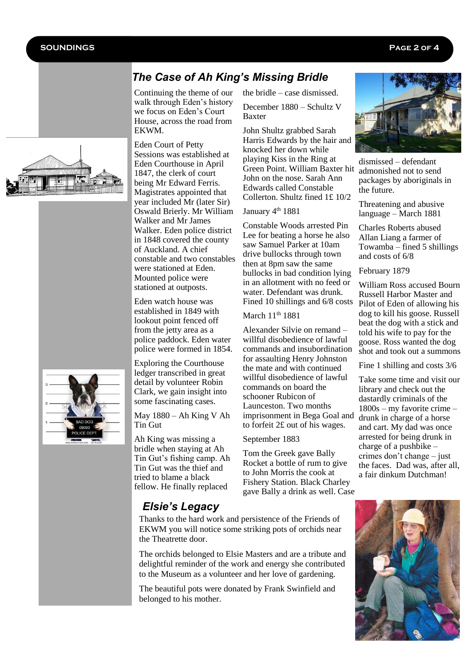Feb

# *The Case of Ah King's Missing Bridle*

Continuing the theme of our walk through Eden's history we focus on Eden's Court House, across the road from **EKWM** 

Eden Court of Petty Sessions was established at Eden Courthouse in April 1847, the clerk of court being Mr Edward Ferris. Magistrates appointed that year included Mr (later Sir) Oswald Brierly. Mr William Walker and Mr James Walker. Eden police district in 1848 covered the county of Auckland. A chief constable and two constables were stationed at Eden. Mounted police were stationed at outposts.

Eden watch house was established in 1849 with lookout point fenced off from the jetty area as a police paddock. Eden water police were formed in 1854.

Exploring the Courthouse ledger transcribed in great detail by volunteer Robin Clark, we gain insight into some fascinating cases.

#### May 1880 – Ah King V Ah Tin Gut

Ah King was missing a bridle when staying at Ah Tin Gut's fishing camp. Ah Tin Gut was the thief and tried to blame a black fellow. He finally replaced

the bridle – case dismissed.

December 1880 – Schultz V Baxter

John Shultz grabbed Sarah Harris Edwards by the hair and knocked her down while playing Kiss in the Ring at Green Point. William Baxter hit John on the nose. Sarah Ann Edwards called Constable Collerton. Shultz fined 1£ 10/2

#### January 4<sup>th</sup> 1881

Constable Woods arrested Pin Lee for beating a horse he also saw Samuel Parker at 10am drive bullocks through town then at 8pm saw the same bullocks in bad condition lying in an allotment with no feed or water. Defendant was drunk. Fined 10 shillings and 6/8 costs

March 11<sup>th</sup> 1881

Alexander Silvie on remand – willful disobedience of lawful commands and insubordination for assaulting Henry Johnston the mate and with continued willful disobedience of lawful commands on board the schooner Rubicon of Launceston. Two months imprisonment in Bega Goal and to forfeit 2£ out of his wages.

#### September 1883

Tom the Greek gave Bally Rocket a bottle of rum to give to John Morris the cook at Fishery Station. Black Charley gave Bally a drink as well. Case



dismissed – defendant admonished not to send packages by aboriginals in the future.

Threatening and abusive language – March 1881

Charles Roberts abused Allan Liang a farmer of Towamba – fined 5 shillings and costs of 6/8

February 1879

William Ross accused Bourn Russell Harbor Master and Pilot of Eden of allowing his dog to kill his goose. Russell beat the dog with a stick and told his wife to pay for the goose. Ross wanted the dog shot and took out a summons

Fine 1 shilling and costs 3/6

Take some time and visit our library and check out the dastardly criminals of the 1800s – my favorite crime – drunk in charge of a horse and cart. My dad was once arrested for being drunk in charge of a pushbike – crimes don't change – just the faces. Dad was, after all, a fair dinkum Dutchman!





Thanks to the hard work and persistence of the Friends of EKWM you will notice some striking pots of orchids near the Theatrette door. *Elsie's Legacy*

The orchids belonged to Elsie Masters and are a tribute and delightful reminder of the work and energy she contributed to the Museum as a volunteer and her love of gardening.

The beautiful pots were donated by Frank Swinfield and belonged to his mother.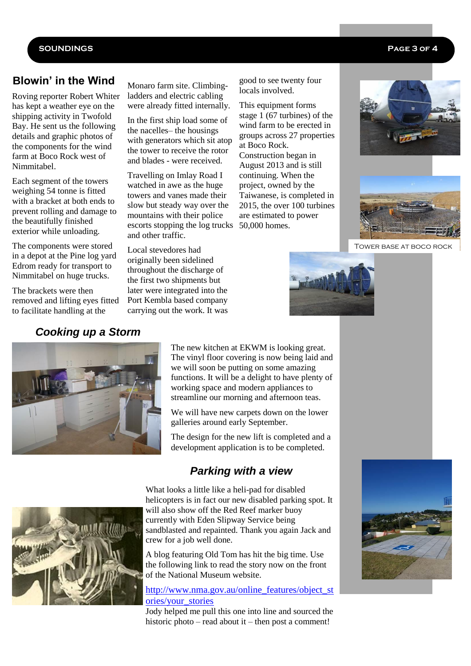#### **SOUNDINGS Page 3 of 4**

## **Blowin' in the Wind**

Roving reporter Robert Whiter has kept a weather eye on the shipping activity in Twofold Bay. He sent us the following details and graphic photos of the components for the wind farm at Boco Rock west of Nimmitabel.

Each segment of the towers weighing 54 tonne is fitted with a bracket at both ends to prevent rolling and damage to the beautifully finished exterior while unloading.

The components were stored in a depot at the Pine log yard Edrom ready for transport to Nimmitabel on huge trucks.

The brackets were then removed and lifting eyes fitted to facilitate handling at the

### *Cooking up a Storm*

Monaro farm site. Climbingladders and electric cabling were already fitted internally.

In the first ship load some of the nacelles– the housings with generators which sit atop the tower to receive the rotor and blades - were received.

Travelling on Imlay Road I watched in awe as the huge towers and vanes made their slow but steady way over the mountains with their police escorts stopping the log trucks 50,000 homes. and other traffic.

Local stevedores had originally been sidelined throughout the discharge of the first two shipments but later were integrated into the Port Kembla based company carrying out the work. It was good to see twenty four locals involved.

This equipment forms stage  $1(67$  turbines) of the wind farm to be erected in groups across 27 properties at Boco Rock. Construction began in August 2013 and is still continuing. When the project, owned by the Taiwanese, is completed in 2015, the over 100 turbines are estimated to power





Tower base at boco rock





The new kitchen at EKWM is looking great. The vinyl floor covering is now being laid and we will soon be putting on some amazing functions. It will be a delight to have plenty of working space and modern appliances to streamline our morning and afternoon teas.

We will have new carpets down on the lower galleries around early September.

The design for the new lift is completed and a development application is to be completed.

# *Parking with a view*



What looks a little like a heli-pad for disabled helicopters is in fact our new disabled parking spot. It will also show off the Red Reef marker buoy currently with Eden Slipway Service being sandblasted and repainted. Thank you again Jack and crew for a job well done.

A blog featuring Old Tom has hit the big time. Use the following link to read the story now on the front of the National Museum website.

[http://www.nma.gov.au/online\\_features/object\\_st](http://www.nma.gov.au/online_features/object_stories/your_stories) [ories/your\\_stories](http://www.nma.gov.au/online_features/object_stories/your_stories)

Jody helped me pull this one into line and sourced the historic photo – read about it – then post a comment!